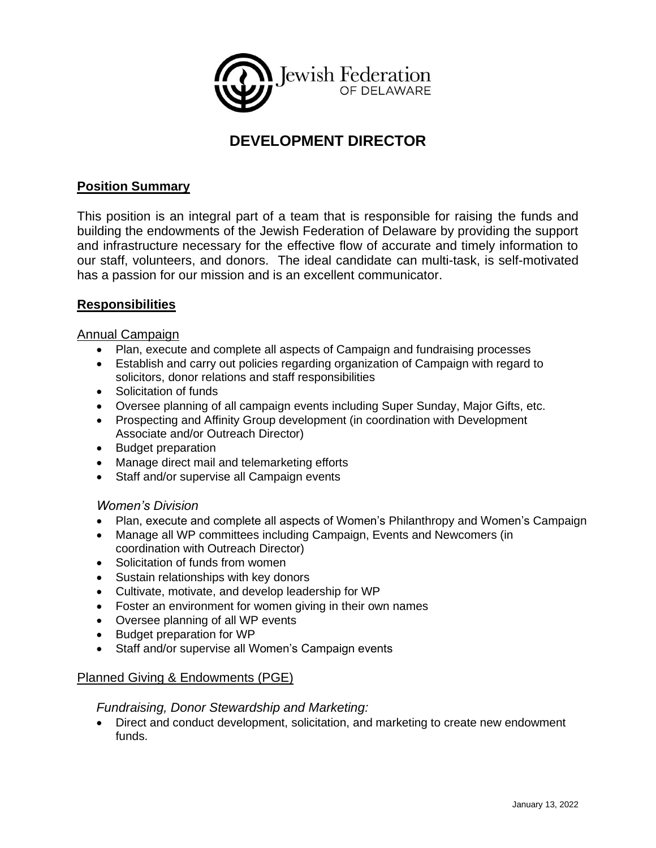

# **DEVELOPMENT DIRECTOR**

### **Position Summary**

This position is an integral part of a team that is responsible for raising the funds and building the endowments of the Jewish Federation of Delaware by providing the support and infrastructure necessary for the effective flow of accurate and timely information to our staff, volunteers, and donors. The ideal candidate can multi-task, is self-motivated has a passion for our mission and is an excellent communicator.

#### **Responsibilities**

#### Annual Campaign

- Plan, execute and complete all aspects of Campaign and fundraising processes
- Establish and carry out policies regarding organization of Campaign with regard to solicitors, donor relations and staff responsibilities
- Solicitation of funds
- Oversee planning of all campaign events including Super Sunday, Major Gifts, etc.
- Prospecting and Affinity Group development (in coordination with Development Associate and/or Outreach Director)
- Budget preparation
- Manage direct mail and telemarketing efforts
- Staff and/or supervise all Campaign events

#### *Women's Division*

- Plan, execute and complete all aspects of Women's Philanthropy and Women's Campaign
- Manage all WP committees including Campaign, Events and Newcomers (in coordination with Outreach Director)
- Solicitation of funds from women
- Sustain relationships with key donors
- Cultivate, motivate, and develop leadership for WP
- Foster an environment for women giving in their own names
- Oversee planning of all WP events
- Budget preparation for WP
- Staff and/or supervise all Women's Campaign events

#### Planned Giving & Endowments (PGE)

#### *Fundraising, Donor Stewardship and Marketing:*

• Direct and conduct development, solicitation, and marketing to create new endowment funds.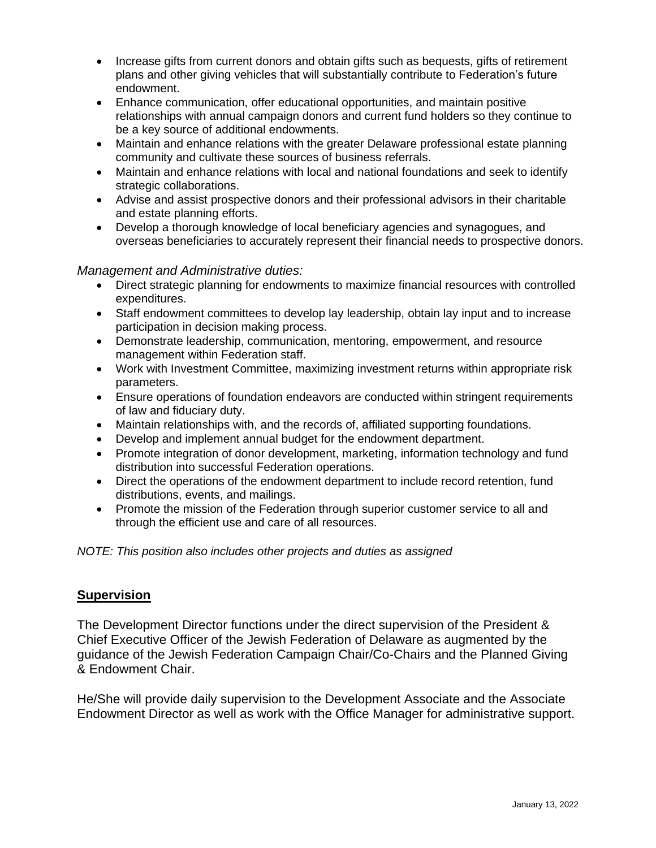- Increase gifts from current donors and obtain gifts such as bequests, gifts of retirement plans and other giving vehicles that will substantially contribute to Federation's future endowment.
- Enhance communication, offer educational opportunities, and maintain positive relationships with annual campaign donors and current fund holders so they continue to be a key source of additional endowments.
- Maintain and enhance relations with the greater Delaware professional estate planning community and cultivate these sources of business referrals.
- Maintain and enhance relations with local and national foundations and seek to identify strategic collaborations.
- Advise and assist prospective donors and their professional advisors in their charitable and estate planning efforts.
- Develop a thorough knowledge of local beneficiary agencies and synagogues, and overseas beneficiaries to accurately represent their financial needs to prospective donors.

#### *Management and Administrative duties:*

- Direct strategic planning for endowments to maximize financial resources with controlled expenditures.
- Staff endowment committees to develop lay leadership, obtain lay input and to increase participation in decision making process.
- Demonstrate leadership, communication, mentoring, empowerment, and resource management within Federation staff.
- Work with Investment Committee, maximizing investment returns within appropriate risk parameters.
- Ensure operations of foundation endeavors are conducted within stringent requirements of law and fiduciary duty.
- Maintain relationships with, and the records of, affiliated supporting foundations.
- Develop and implement annual budget for the endowment department.
- Promote integration of donor development, marketing, information technology and fund distribution into successful Federation operations.
- Direct the operations of the endowment department to include record retention, fund distributions, events, and mailings.
- Promote the mission of the Federation through superior customer service to all and through the efficient use and care of all resources.

*NOTE: This position also includes other projects and duties as assigned* 

#### **Supervision**

The Development Director functions under the direct supervision of the President & Chief Executive Officer of the Jewish Federation of Delaware as augmented by the guidance of the Jewish Federation Campaign Chair/Co-Chairs and the Planned Giving & Endowment Chair.

He/She will provide daily supervision to the Development Associate and the Associate Endowment Director as well as work with the Office Manager for administrative support.